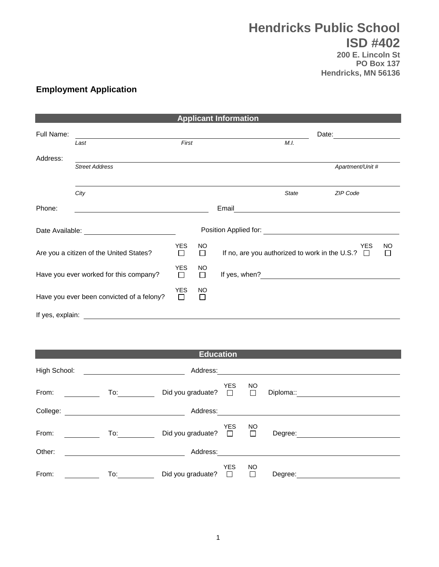## **Hendricks Public School ISD #402**

**200 E. Lincoln St PO Box 137 Hendricks, MN 56136**

## **Employment Application**

| <b>Applicant Information</b>              |                       |                      |              |                                                       |              |                  |                      |
|-------------------------------------------|-----------------------|----------------------|--------------|-------------------------------------------------------|--------------|------------------|----------------------|
| Full Name:                                |                       |                      |              |                                                       | Date:        |                  |                      |
|                                           | Last                  | First                |              |                                                       | M.I.         |                  |                      |
| Address:                                  |                       |                      |              |                                                       |              |                  |                      |
|                                           | <b>Street Address</b> |                      |              |                                                       |              | Apartment/Unit # |                      |
|                                           |                       |                      |              |                                                       |              |                  |                      |
|                                           | City                  |                      |              |                                                       | <b>State</b> | ZIP Code         |                      |
| Phone:                                    |                       |                      |              | Email                                                 |              |                  |                      |
| Date Available: <b>Example 2018</b>       |                       |                      |              |                                                       |              |                  |                      |
| Are you a citizen of the United States?   |                       | YES<br>□             | NO.<br>П     | If no, are you authorized to work in the U.S.? $\Box$ |              | <b>YES</b>       | <b>NO</b><br>$\perp$ |
| Have you ever worked for this company?    |                       | <b>YES</b><br>$\Box$ | NO<br>$\Box$ | If yes, when?                                         |              |                  |                      |
| Have you ever been convicted of a felony? |                       | <b>YES</b><br>$\Box$ | NO<br>П      |                                                       |              |                  |                      |
| If yes, explain:                          |                       |                      |              |                                                       |              |                  |                      |

| <b>Education</b> |     |                   |                      |                     |           |  |
|------------------|-----|-------------------|----------------------|---------------------|-----------|--|
| High School:     |     | Address:          |                      |                     |           |  |
| From:            | To: | Did you graduate? | <b>YES</b><br>$\Box$ | <b>NO</b><br>П      | Diploma:: |  |
| College:         |     | Address:          |                      |                     |           |  |
| From:            | To: | Did you graduate? | <b>YES</b><br>$\Box$ | <b>NO</b><br>$\Box$ | Degree:   |  |
| Other:           |     | Address:          |                      |                     |           |  |
| From:            | To: | Did you graduate? | <b>YES</b><br>$\Box$ | <b>NO</b><br>П      | Degree:   |  |